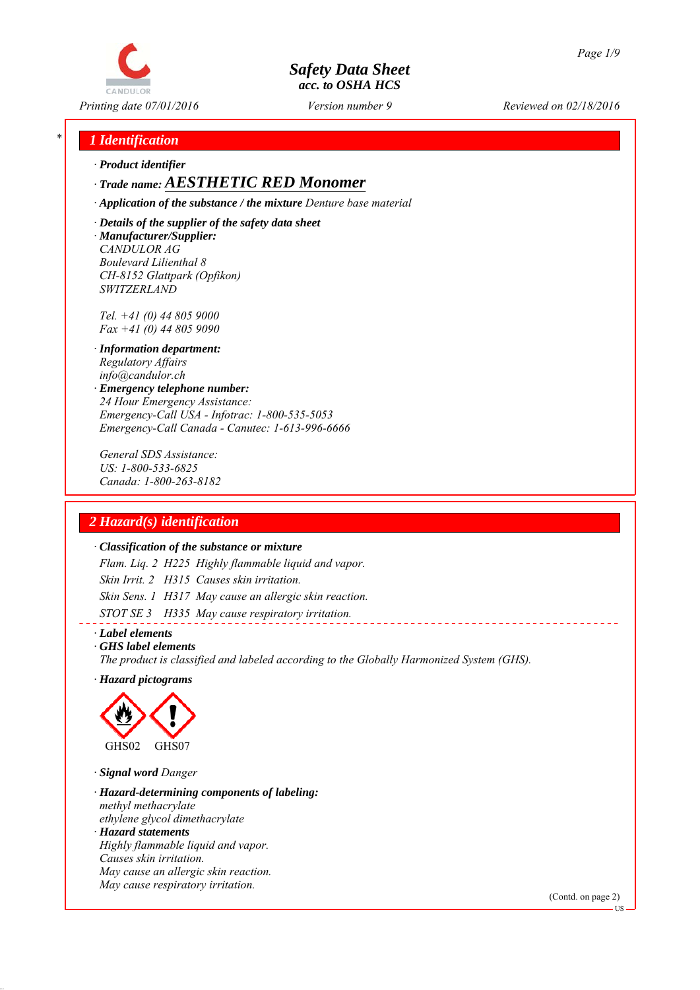

*Printing date 07/01/2016 Reviewed on 02/18/2016 Version number 9*

## *\* 1 Identification*

*∙ Product identifier*

# *∙ Trade name: AESTHETIC RED Monomer*

*∙ Application of the substance / the mixture Denture base material*

*∙ Details of the supplier of the safety data sheet ∙ Manufacturer/Supplier: CANDULOR AG Boulevard Lilienthal 8 CH-8152 Glattpark (Opfikon) SWITZERLAND*

*Tel. +41 (0) 44 805 9000 Fax +41 (0) 44 805 9090*

- *∙ Information department: Regulatory Affairs info@candulor.ch*
- *∙ Emergency telephone number: 24 Hour Emergency Assistance: Emergency-Call USA - Infotrac: 1-800-535-5053 Emergency-Call Canada - Canutec: 1-613-996-6666*

*General SDS Assistance: US: 1-800-533-6825 Canada: 1-800-263-8182*

# *2 Hazard(s) identification*

## *∙ Classification of the substance or mixture*

*Flam. Liq. 2 H225 Highly flammable liquid and vapor. Skin Irrit. 2 H315 Causes skin irritation. Skin Sens. 1 H317 May cause an allergic skin reaction. STOT SE 3 H335 May cause respiratory irritation.*

*∙ Label elements*

*∙ GHS label elements*

*The product is classified and labeled according to the Globally Harmonized System (GHS).*

*∙ Hazard pictograms*



- *∙ Signal word Danger*
- *∙ Hazard-determining components of labeling: methyl methacrylate ethylene glycol dimethacrylate*
- *∙ Hazard statements Highly flammable liquid and vapor. Causes skin irritation. May cause an allergic skin reaction. May cause respiratory irritation.*

(Contd. on page 2)

US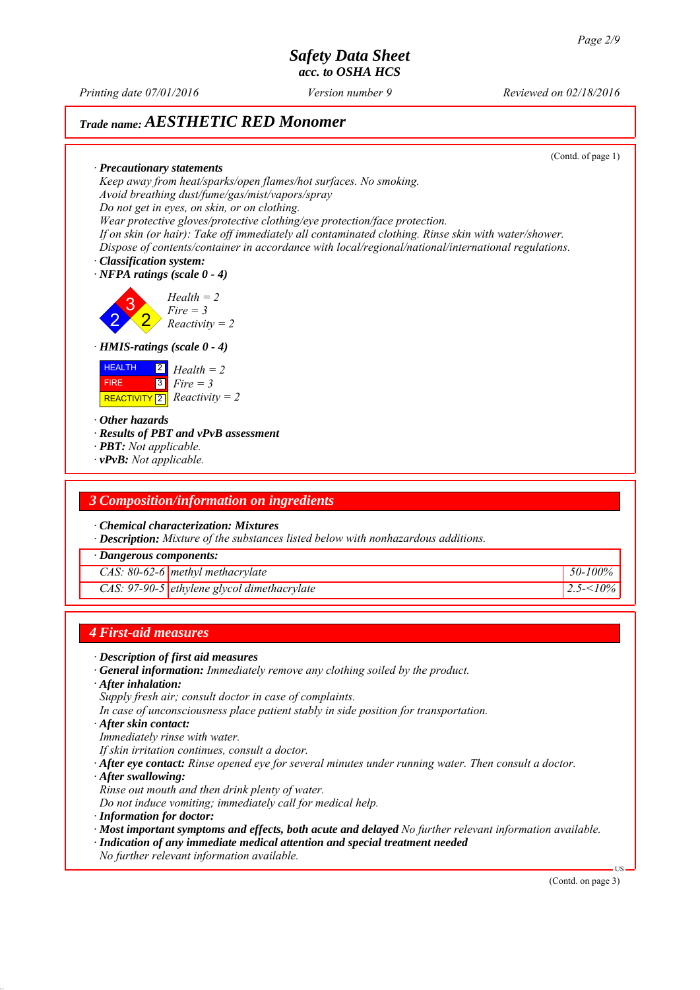*Printing date 07/01/2016 Reviewed on 02/18/2016 Version number 9*

# *Trade name: AESTHETIC RED Monomer*

(Contd. of page 1)

*∙ Precautionary statements Keep away from heat/sparks/open flames/hot surfaces. No smoking. Avoid breathing dust/fume/gas/mist/vapors/spray Do not get in eyes, on skin, or on clothing. Wear protective gloves/protective clothing/eye protection/face protection. If on skin (or hair): Take off immediately all contaminated clothing. Rinse skin with water/shower. Dispose of contents/container in accordance with local/regional/national/international regulations.*

- *∙ Classification system:*
- *∙ NFPA ratings (scale 0 4)*

2 3 2 *Health = 2 Fire = 3 Reactivity = 2*

### *∙ HMIS-ratings (scale 0 - 4)*



- *∙ Other hazards*
- *∙ Results of PBT and vPvB assessment*
- *∙ PBT: Not applicable.*
- *∙ vPvB: Not applicable.*

## *3 Composition/information on ingredients*

*∙ Chemical characterization: Mixtures*

*∙ Description: Mixture of the substances listed below with nonhazardous additions.*

*∙ Dangerous components:*

*CAS: 80-62-6 methyl methacrylate 50-100%*

*CAS: 97-90-5 ethylene glycol dimethacrylate 2.5-<10%*

## *4 First-aid measures*

- *∙ Description of first aid measures*
- *∙ General information: Immediately remove any clothing soiled by the product.*
- *∙ After inhalation:*
- *Supply fresh air; consult doctor in case of complaints.*
- *In case of unconsciousness place patient stably in side position for transportation.*
- *∙ After skin contact:*
- *Immediately rinse with water.*
- *If skin irritation continues, consult a doctor.*
- *∙ After eye contact: Rinse opened eye for several minutes under running water. Then consult a doctor.*
- *∙ After swallowing:*
- *Rinse out mouth and then drink plenty of water.*
- *Do not induce vomiting; immediately call for medical help.*
- *∙ Information for doctor:*
- *∙ Most important symptoms and effects, both acute and delayed No further relevant information available.*
- *∙ Indication of any immediate medical attention and special treatment needed*
- *No further relevant information available.*

(Contd. on page 3)

US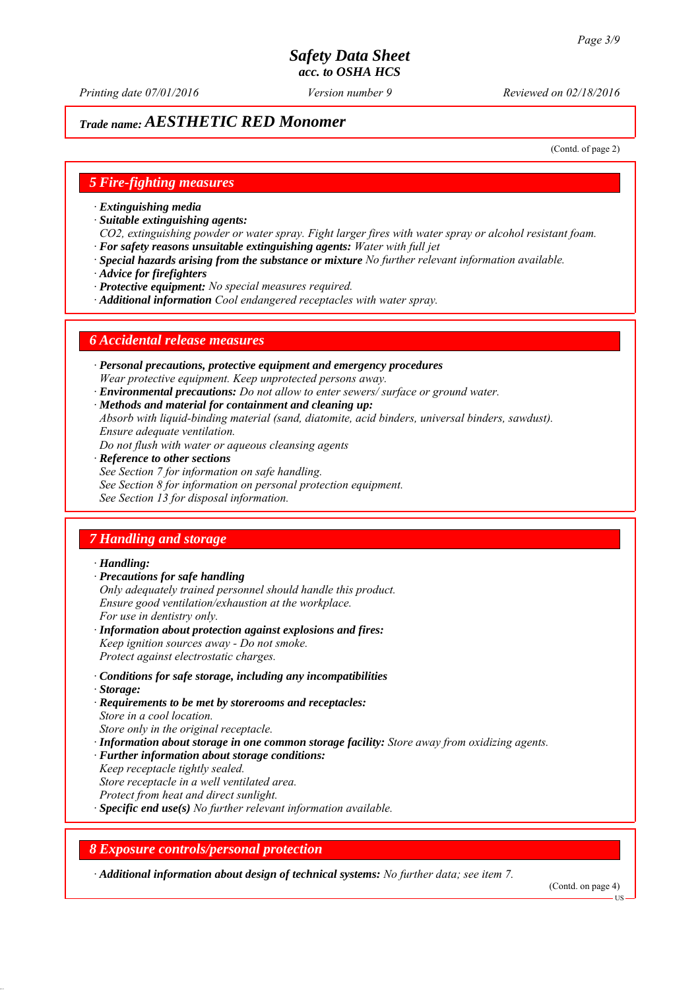*Printing date 07/01/2016 Reviewed on 02/18/2016 Version number 9*

# *Trade name: AESTHETIC RED Monomer*

(Contd. of page 2)

## *5 Fire-fighting measures*

- *∙ Extinguishing media*
- *∙ Suitable extinguishing agents:*
- *CO2, extinguishing powder or water spray. Fight larger fires with water spray or alcohol resistant foam. ∙ For safety reasons unsuitable extinguishing agents: Water with full jet*
- *∙ Special hazards arising from the substance or mixture No further relevant information available.*
- *∙ Advice for firefighters*
- *∙ Protective equipment: No special measures required.*
- *∙ Additional information Cool endangered receptacles with water spray.*

## *6 Accidental release measures*

- *∙ Personal precautions, protective equipment and emergency procedures Wear protective equipment. Keep unprotected persons away.*
- *∙ Environmental precautions: Do not allow to enter sewers/ surface or ground water.*
- *∙ Methods and material for containment and cleaning up:*
- *Absorb with liquid-binding material (sand, diatomite, acid binders, universal binders, sawdust). Ensure adequate ventilation.*
- *Do not flush with water or aqueous cleansing agents*
- *∙ Reference to other sections*
- *See Section 7 for information on safe handling.*
- *See Section 8 for information on personal protection equipment.*
- *See Section 13 for disposal information.*

## *7 Handling and storage*

### *∙ Handling:*

- *∙ Precautions for safe handling*
- *Only adequately trained personnel should handle this product. Ensure good ventilation/exhaustion at the workplace. For use in dentistry only.*
- *∙ Information about protection against explosions and fires: Keep ignition sources away - Do not smoke. Protect against electrostatic charges.*
- *∙ Conditions for safe storage, including any incompatibilities*
- *∙ Storage:*
- *∙ Requirements to be met by storerooms and receptacles: Store in a cool location. Store only in the original receptacle.*
- *∙ Information about storage in one common storage facility: Store away from oxidizing agents.*
- *∙ Further information about storage conditions:*
- *Keep receptacle tightly sealed.*
- *Store receptacle in a well ventilated area.*
- *Protect from heat and direct sunlight.*
- *∙ Specific end use(s) No further relevant information available.*

## *8 Exposure controls/personal protection*

*∙ Additional information about design of technical systems: No further data; see item 7.*

(Contd. on page 4)

**HS**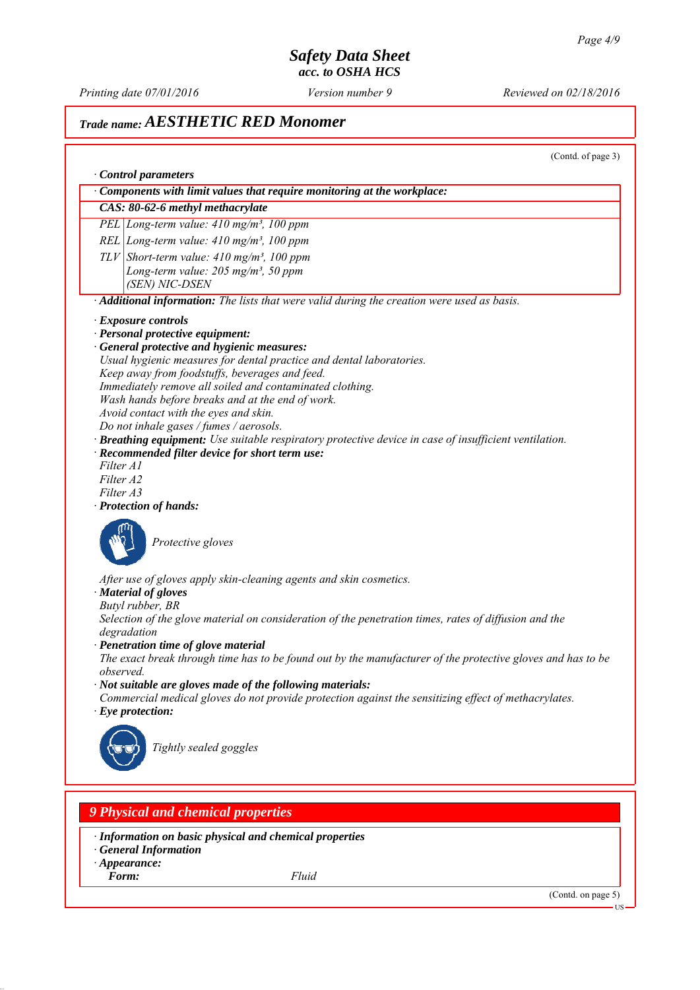*Printing date 07/01/2016 Reviewed on 02/18/2016 Version number 9*

# *Trade name: AESTHETIC RED Monomer*

(Contd. of page 3)

|                                          | Control parameters<br>Components with limit values that require monitoring at the workplace:                                                                             |
|------------------------------------------|--------------------------------------------------------------------------------------------------------------------------------------------------------------------------|
|                                          | CAS: 80-62-6 methyl methacrylate                                                                                                                                         |
|                                          | PEL Long-term value: 410 mg/m <sup>3</sup> , 100 ppm                                                                                                                     |
|                                          |                                                                                                                                                                          |
|                                          | REL Long-term value: $410$ mg/m <sup>3</sup> , $100$ ppm                                                                                                                 |
|                                          | $TLV$ Short-term value: 410 mg/m <sup>3</sup> , 100 ppm                                                                                                                  |
|                                          | Long-term value: 205 mg/m <sup>3</sup> , 50 ppm<br>(SEN) NIC-DSEN                                                                                                        |
|                                          | · Additional information: The lists that were valid during the creation were used as basis.                                                                              |
| · Exposure controls                      |                                                                                                                                                                          |
|                                          | · Personal protective equipment:                                                                                                                                         |
|                                          | · General protective and hygienic measures:                                                                                                                              |
|                                          | Usual hygienic measures for dental practice and dental laboratories.                                                                                                     |
|                                          | Keep away from foodstuffs, beverages and feed.                                                                                                                           |
|                                          | Immediately remove all soiled and contaminated clothing.                                                                                                                 |
|                                          | Wash hands before breaks and at the end of work.                                                                                                                         |
|                                          | Avoid contact with the eyes and skin.                                                                                                                                    |
|                                          | Do not inhale gases / fumes / aerosols.                                                                                                                                  |
|                                          | · Breathing equipment: Use suitable respiratory protective device in case of insufficient ventilation.                                                                   |
| Filter A1                                | · Recommended filter device for short term use:                                                                                                                          |
| Filter A2                                |                                                                                                                                                                          |
| Filter A3                                |                                                                                                                                                                          |
| · Protection of hands:                   |                                                                                                                                                                          |
|                                          | Protective gloves                                                                                                                                                        |
| · Material of gloves<br>Butyl rubber, BR | After use of gloves apply skin-cleaning agents and skin cosmetics.                                                                                                       |
| degradation                              | Selection of the glove material on consideration of the penetration times, rates of diffusion and the                                                                    |
|                                          | · Penetration time of glove material                                                                                                                                     |
|                                          | The exact break through time has to be found out by the manufacturer of the protective gloves and has to be                                                              |
| observed.                                |                                                                                                                                                                          |
|                                          | $\cdot$ Not suitable are gloves made of the following materials:<br>Commercial medical gloves do not provide protection against the sensitizing effect of methacrylates. |
| $\cdot$ Eye protection:                  |                                                                                                                                                                          |
|                                          | Tightly sealed goggles                                                                                                                                                   |
|                                          |                                                                                                                                                                          |
|                                          |                                                                                                                                                                          |
|                                          | <b>9 Physical and chemical properties</b>                                                                                                                                |
|                                          | · Information on basic physical and chemical properties<br><b>General Information</b>                                                                                    |
| $\cdot$ Appearance:                      |                                                                                                                                                                          |
| Form:                                    | Fluid                                                                                                                                                                    |
|                                          | (Contd. on page 5)                                                                                                                                                       |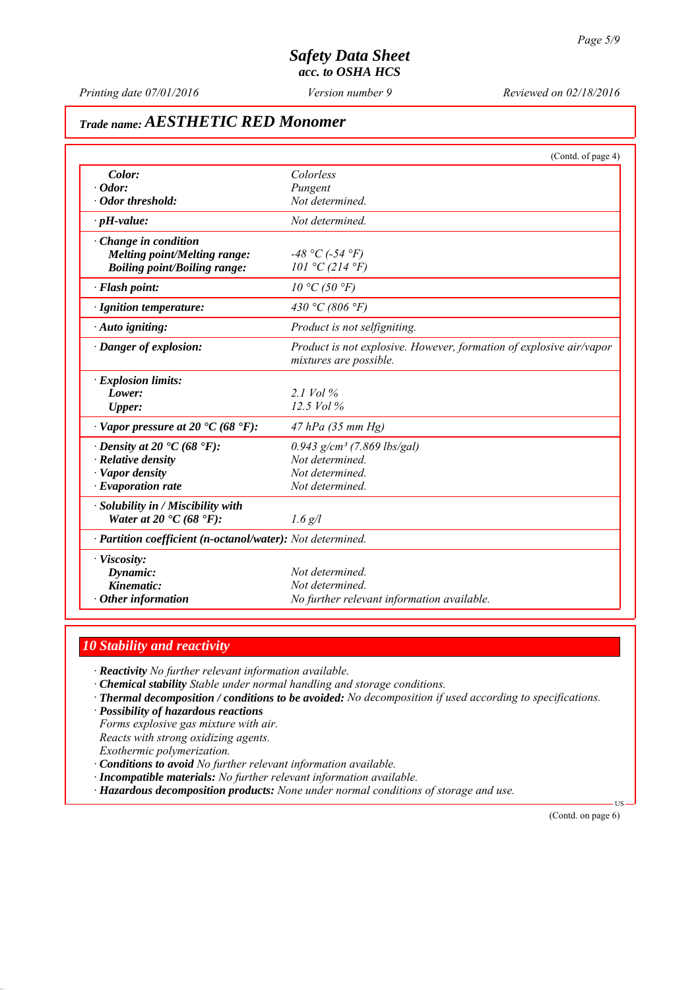*Printing date 07/01/2016 Reviewed on 02/18/2016 Version number 9*

# *Trade name: AESTHETIC RED Monomer*

|                                                            | (Contd. of page 4)                                                  |
|------------------------------------------------------------|---------------------------------------------------------------------|
| Color:                                                     | Colorless                                                           |
| $\cdot$ Odor:                                              | Pungent                                                             |
| Odor threshold:                                            | Not determined.                                                     |
| $\cdot$ pH-value:                                          | Not determined.                                                     |
| $\cdot$ Change in condition                                |                                                                     |
| <b>Melting point/Melting range:</b>                        | $-48 °C$ (-54 °F)                                                   |
| <b>Boiling point/Boiling range:</b>                        | 101 °C (214 °F)                                                     |
| · Flash point:                                             | 10 °C (50 °F)                                                       |
| · Ignition temperature:                                    | 430 °C (806 °F)                                                     |
| $\cdot$ Auto igniting:                                     | Product is not selfigniting.                                        |
| · Danger of explosion:                                     | Product is not explosive. However, formation of explosive air/vapor |
|                                                            | mixtures are possible.                                              |
| · Explosion limits:                                        |                                                                     |
| Lower:                                                     | $2.1$ Vol $\%$                                                      |
| <b>Upper:</b>                                              | $12.5$ Vol $%$                                                      |
| $\cdot$ Vapor pressure at 20 $\cdot$ C (68 $\cdot$ F):     | 47 hPa (35 mm Hg)                                                   |
| $\cdot$ Density at 20 $\cdot$ C (68 $\cdot$ F):            | $0.943$ g/cm <sup>3</sup> (7.869 lbs/gal)                           |
| $\cdot$ Relative density                                   | Not determined.                                                     |
| · Vapor density                                            | Not determined.                                                     |
| $\cdot$ Evaporation rate                                   | Not determined.                                                     |
| · Solubility in / Miscibility with                         |                                                                     |
| Water at 20 $\textdegree$ C (68 $\textdegree$ F):          | $1.6$ g/l                                                           |
| · Partition coefficient (n-octanol/water): Not determined. |                                                                     |
| · Viscosity:                                               |                                                                     |
| Dynamic:                                                   | Not determined.                                                     |
| Kinematic:                                                 | Not determined.                                                     |
| $\cdot$ Other information                                  | No further relevant information available.                          |

# *10 Stability and reactivity*

*∙ Reactivity No further relevant information available.*

- *∙ Chemical stability Stable under normal handling and storage conditions.*
- *∙ Thermal decomposition / conditions to be avoided: No decomposition if used according to specifications.*
- *∙ Possibility of hazardous reactions*

*Forms explosive gas mixture with air.*

*Reacts with strong oxidizing agents.*

*Exothermic polymerization.*

*∙ Conditions to avoid No further relevant information available.*

*∙ Incompatible materials: No further relevant information available.*

*∙ Hazardous decomposition products: None under normal conditions of storage and use.*

(Contd. on page 6)

US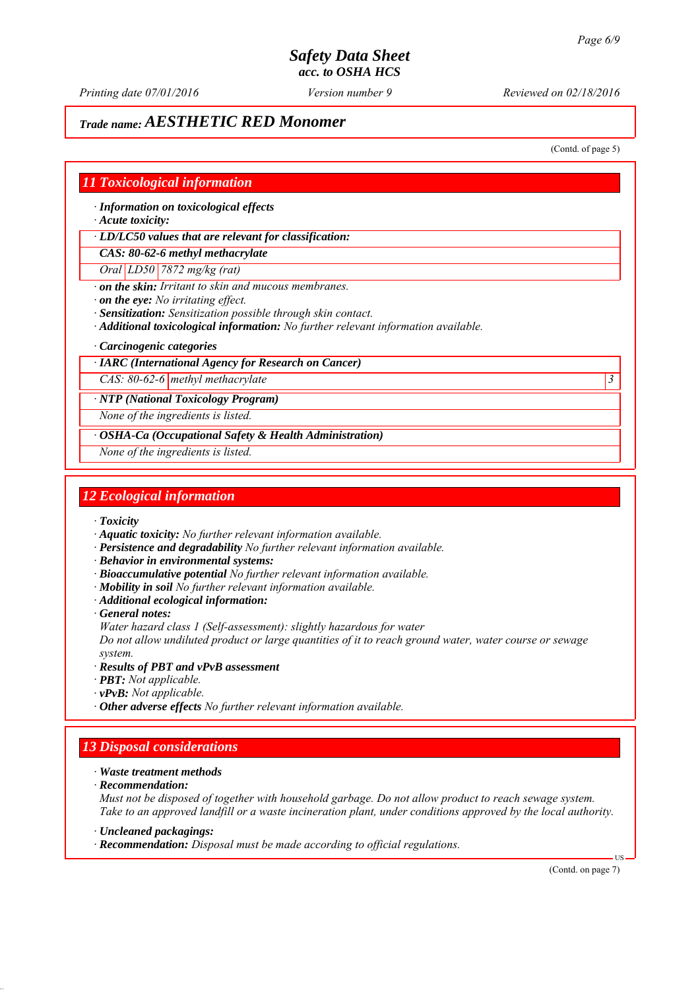*Printing date 07/01/2016 Reviewed on 02/18/2016 Version number 9*

# *Trade name: AESTHETIC RED Monomer*

(Contd. of page 5)

## *11 Toxicological information*

*∙ Information on toxicological effects*

*∙ Acute toxicity:*

*∙ LD/LC50 values that are relevant for classification:*

*CAS: 80-62-6 methyl methacrylate*

*Oral LD50 7872 mg/kg (rat)*

*∙ on the skin: Irritant to skin and mucous membranes.*

*∙ on the eye: No irritating effect.*

*∙ Sensitization: Sensitization possible through skin contact.*

*∙ Additional toxicological information: No further relevant information available.*

*∙ Carcinogenic categories*

## *∙ IARC (International Agency for Research on Cancer)*

*CAS: 80-62-6 methyl methacrylate 3* 

*∙ NTP (National Toxicology Program)*

*None of the ingredients is listed.*

*∙ OSHA-Ca (Occupational Safety & Health Administration)*

*None of the ingredients is listed.*

## *12 Ecological information*

*∙ Toxicity*

- *∙ Aquatic toxicity: No further relevant information available.*
- *∙ Persistence and degradability No further relevant information available.*
- *∙ Behavior in environmental systems:*
- *∙ Bioaccumulative potential No further relevant information available.*
- *∙ Mobility in soil No further relevant information available.*
- *∙ Additional ecological information:*
- *∙ General notes:*

*Water hazard class 1 (Self-assessment): slightly hazardous for water*

*Do not allow undiluted product or large quantities of it to reach ground water, water course or sewage system.*

- *∙ Results of PBT and vPvB assessment*
- *∙ PBT: Not applicable.*
- *∙ vPvB: Not applicable.*
- *∙ Other adverse effects No further relevant information available.*

## *13 Disposal considerations*

- *∙ Waste treatment methods*
- *∙ Recommendation:*

*Must not be disposed of together with household garbage. Do not allow product to reach sewage system. Take to an approved landfill or a waste incineration plant, under conditions approved by the local authority.*

*∙ Uncleaned packagings:*

*∙ Recommendation: Disposal must be made according to official regulations.*

(Contd. on page 7)

US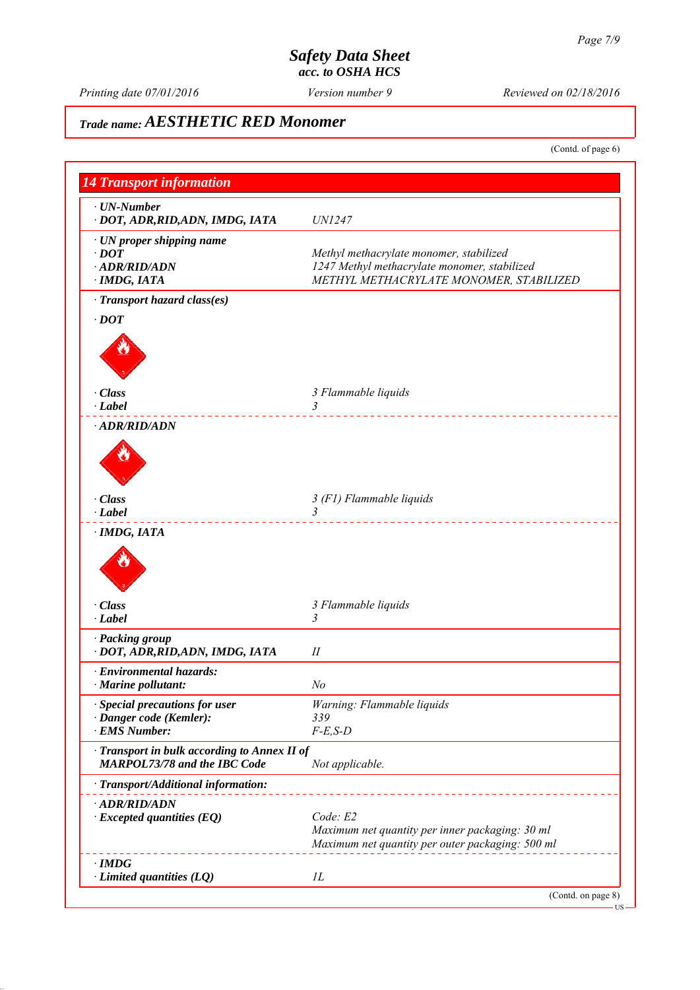US

# *Safety Data Sheet acc. to OSHA HCS*

*Printing date 07/01/2016 Reviewed on 02/18/2016 Version number 9*

# *Trade name: AESTHETIC RED Monomer*

(Contd. of page 6)

| <b>14 Transport information</b>                                                     |                                                  |
|-------------------------------------------------------------------------------------|--------------------------------------------------|
| $\cdot$ UN-Number                                                                   |                                                  |
| · DOT, ADR, RID, ADN, IMDG, IATA                                                    | <i>UN1247</i>                                    |
| $\cdot$ UN proper shipping name                                                     |                                                  |
| $\cdot$ DOT                                                                         | Methyl methacrylate monomer, stabilized          |
| · ADR/RID/ADN                                                                       | 1247 Methyl methacrylate monomer, stabilized     |
| · IMDG, IATA                                                                        | METHYL METHACRYLATE MONOMER, STABILIZED          |
| · Transport hazard class(es)                                                        |                                                  |
| $\cdot$ DOT                                                                         |                                                  |
|                                                                                     |                                                  |
| · Class                                                                             | 3 Flammable liquids                              |
| $\cdot$ Label                                                                       | 3                                                |
| · ADR/RID/ADN                                                                       |                                                  |
|                                                                                     |                                                  |
| · Class                                                                             | 3 (F1) Flammable liquids                         |
| $\cdot$ Label                                                                       | $\mathfrak{Z}$                                   |
|                                                                                     |                                                  |
| · Class<br>$\cdot$ Label                                                            | 3 Flammable liquids<br>3                         |
|                                                                                     |                                                  |
| · Packing group<br>· DOT, ADR, RID, ADN, IMDG, IATA                                 | П                                                |
| · Environmental hazards:                                                            |                                                  |
| $\cdot$ Marine pollutant:                                                           | No                                               |
| · Special precautions for user                                                      | Warning: Flammable liquids                       |
| · Danger code (Kemler):                                                             | 339                                              |
| · EMS Number:                                                                       | $F-E,S-D$                                        |
| · Transport in bulk according to Annex II of<br><b>MARPOL73/78 and the IBC Code</b> | Not applicable.                                  |
| · Transport/Additional information:                                                 |                                                  |
| · ADR/RID/ADN                                                                       |                                                  |
| $\cdot$ Excepted quantities (EQ)                                                    | Code: E2                                         |
|                                                                                     | Maximum net quantity per inner packaging: 30 ml  |
|                                                                                     | Maximum net quantity per outer packaging: 500 ml |
| $\cdot$ IMDG                                                                        |                                                  |
| $\cdot$ Limited quantities (LQ)                                                     | IL                                               |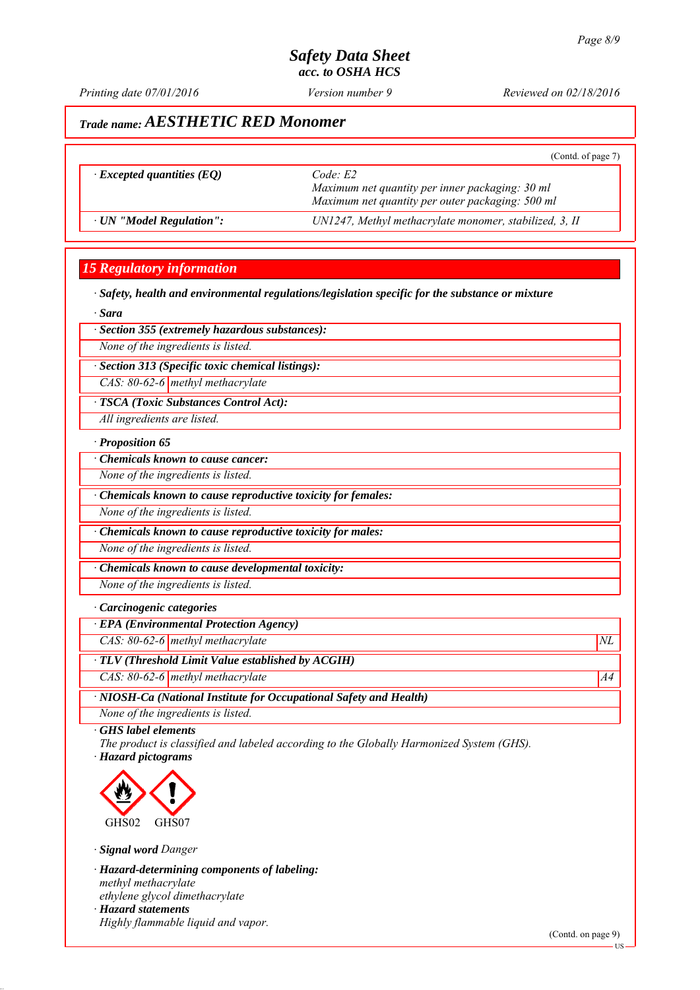*Printing date 07/01/2016 Reviewed on 02/18/2016 Version number 9*

# *Trade name: AESTHETIC RED Monomer*

|                                  | (Contd. of page 7)                                                                                             |
|----------------------------------|----------------------------------------------------------------------------------------------------------------|
| $\cdot$ Excepted quantities (EQ) | Code E2<br>Maximum net quantity per inner packaging: 30 ml<br>Maximum net quantity per outer packaging: 500 ml |
| · UN "Model Regulation":         | UN1247, Methyl methacrylate monomer, stabilized, 3, II                                                         |

## *15 Regulatory information*

*∙ Safety, health and environmental regulations/legislation specific for the substance or mixture*

*∙ Sara*

*∙ Section 355 (extremely hazardous substances):*

*None of the ingredients is listed.*

*∙ Section 313 (Specific toxic chemical listings):*

*CAS: 80-62-6 methyl methacrylate*

*∙ TSCA (Toxic Substances Control Act):*

*All ingredients are listed.*

## *∙ Proposition 65*

*∙ Chemicals known to cause cancer:*

*None of the ingredients is listed.*

*∙ Chemicals known to cause reproductive toxicity for females:*

*None of the ingredients is listed.*

*∙ Chemicals known to cause reproductive toxicity for males:*

*None of the ingredients is listed.*

*∙ Chemicals known to cause developmental toxicity:*

*None of the ingredients is listed.*

### *∙ Carcinogenic categories*

*∙ EPA (Environmental Protection Agency)*

*CAS: 80-62-6 methyl methacrylate*  $NL$ 

*∙ TLV (Threshold Limit Value established by ACGIH)*

*CAS: 80-62-6 methyl methacrylate* A4<sup>4</sup>

*∙ NIOSH-Ca (National Institute for Occupational Safety and Health)*

*None of the ingredients is listed.*

*∙ GHS label elements*

*The product is classified and labeled according to the Globally Harmonized System (GHS). ∙ Hazard pictograms*



*∙ Signal word Danger*

*∙ Hazard-determining components of labeling: methyl methacrylate ethylene glycol dimethacrylate ∙ Hazard statements Highly flammable liquid and vapor.*

(Contd. on page 9)